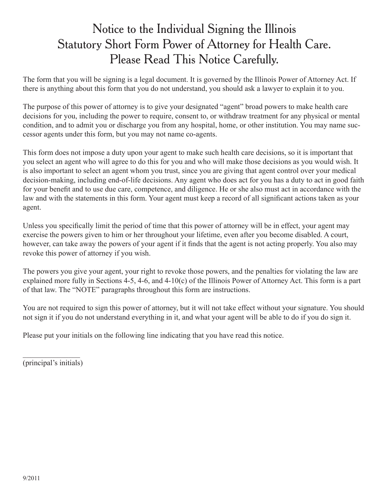## Notice to the Individual Signing the Illinois Statutory Short Form Power of Attorney for Health Care. Please Read This Notice Carefully.

The form that you will be signing is a legal document. It is governed by the Illinois Power of Attorney Act. If there is anything about this form that you do not understand, you should ask a lawyer to explain it to you.

The purpose of this power of attorney is to give your designated "agent" broad powers to make health care decisions for you, including the power to require, consent to, or withdraw treatment for any physical or mental condition, and to admit you or discharge you from any hospital, home, or other institution. You may name successor agents under this form, but you may not name co-agents.

This form does not impose a duty upon your agent to make such health care decisions, so it is important that you select an agent who will agree to do this for you and who will make those decisions as you would wish. It is also important to select an agent whom you trust, since you are giving that agent control over your medical decision-making, including end-of-life decisions. Any agent who does act for you has a duty to act in good faith for your benefit and to use due care, competence, and diligence. He or she also must act in accordance with the law and with the statements in this form. Your agent must keep a record of all significant actions taken as your agent.

Unless you specifically limit the period of time that this power of attorney will be in effect, your agent may exercise the powers given to him or her throughout your lifetime, even after you become disabled. A court, however, can take away the powers of your agent if it finds that the agent is not acting properly. You also may revoke this power of attorney if you wish.

The powers you give your agent, your right to revoke those powers, and the penalties for violating the law are explained more fully in Sections 4-5, 4-6, and 4-10(c) of the Illinois Power of Attorney Act. This form is a part of that law. The "NOTE" paragraphs throughout this form are instructions.

You are not required to sign this power of attorney, but it will not take effect without your signature. You should not sign it if you do not understand everything in it, and what your agent will be able to do if you do sign it.

Please put your initials on the following line indicating that you have read this notice.

 $\mathcal{L}$  , we have the set of  $\mathcal{L}$ (principal's initials)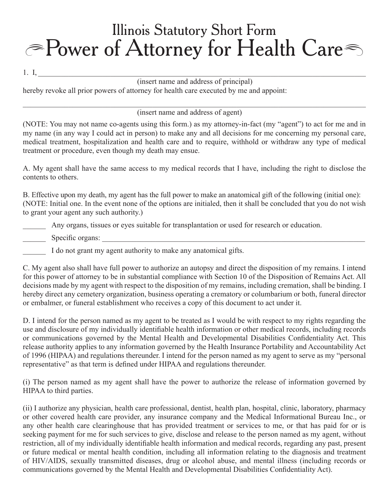## Power of Attorney for Health Care Illinois Statutory Short Form

1. I,  $\frac{1}{2}$  ,  $\frac{1}{2}$  ,  $\frac{1}{2}$  ,  $\frac{1}{2}$  ,  $\frac{1}{2}$  ,  $\frac{1}{2}$  ,  $\frac{1}{2}$  ,  $\frac{1}{2}$  ,  $\frac{1}{2}$  ,  $\frac{1}{2}$  ,  $\frac{1}{2}$  ,  $\frac{1}{2}$  ,  $\frac{1}{2}$  ,  $\frac{1}{2}$  ,  $\frac{1}{2}$  ,  $\frac{1}{2}$  ,  $\frac{1}{2}$  ,  $\frac{1}{2}$  ,

## (insert name and address of principal)

 $\_$  ,  $\_$  ,  $\_$  ,  $\_$  ,  $\_$  ,  $\_$  ,  $\_$  ,  $\_$  ,  $\_$  ,  $\_$  ,  $\_$  ,  $\_$  ,  $\_$  ,  $\_$  ,  $\_$  ,  $\_$  ,  $\_$  ,  $\_$  ,  $\_$  ,  $\_$  ,  $\_$  ,  $\_$  ,  $\_$  ,  $\_$  ,  $\_$  ,  $\_$  ,  $\_$  ,  $\_$  ,  $\_$  ,  $\_$  ,  $\_$  ,  $\_$  ,  $\_$  ,  $\_$  ,  $\_$  ,  $\_$  ,  $\_$  ,

hereby revoke all prior powers of attorney for health care executed by me and appoint:

(insert name and address of agent)

(NOTE: You may not name co-agents using this form.) as my attorney-in-fact (my "agent") to act for me and in my name (in any way I could act in person) to make any and all decisions for me concerning my personal care, medical treatment, hospitalization and health care and to require, withhold or withdraw any type of medical treatment or procedure, even though my death may ensue.

A. My agent shall have the same access to my medical records that I have, including the right to disclose the contents to others.

B. Effective upon my death, my agent has the full power to make an anatomical gift of the following (initial one): (NOTE: Initial one. In the event none of the options are initialed, then it shall be concluded that you do not wish to grant your agent any such authority.)

\_\_\_\_\_\_ Any organs, tissues or eyes suitable for transplantation or used for research or education.

Specific organs:

I do not grant my agent authority to make any anatomical gifts.

C. My agent also shall have full power to authorize an autopsy and direct the disposition of my remains. I intend for this power of attorney to be in substantial compliance with Section 10 of the Disposition of Remains Act. All decisions made by my agent with respect to the disposition of my remains, including cremation, shall be binding. I hereby direct any cemetery organization, business operating a crematory or columbarium or both, funeral director or embalmer, or funeral establishment who receives a copy of this document to act under it.

D. I intend for the person named as my agent to be treated as I would be with respect to my rights regarding the use and disclosure of my individually identifiable health information or other medical records, including records or communications governed by the Mental Health and Developmental Disabilities Confidentiality Act. This release authority applies to any information governed by the Health Insurance Portability and Accountability Act of 1996 (HIPAA) and regulations thereunder. I intend for the person named as my agent to serve as my "personal representative" as that term is defined under HIPAA and regulations thereunder.

(i) The person named as my agent shall have the power to authorize the release of information governed by HIPAA to third parties.

(ii) I authorize any physician, health care professional, dentist, health plan, hospital, clinic, laboratory, pharmacy or other covered health care provider, any insurance company and the Medical Informational Bureau Inc., or any other health care clearinghouse that has provided treatment or services to me, or that has paid for or is seeking payment for me for such services to give, disclose and release to the person named as my agent, without restriction, all of my individually identifiable health information and medical records, regarding any past, present or future medical or mental health condition, including all information relating to the diagnosis and treatment of HIV/AIDS, sexually transmitted diseases, drug or alcohol abuse, and mental illness (including records or communications governed by the Mental Health and Developmental Disabilities Confidentiality Act).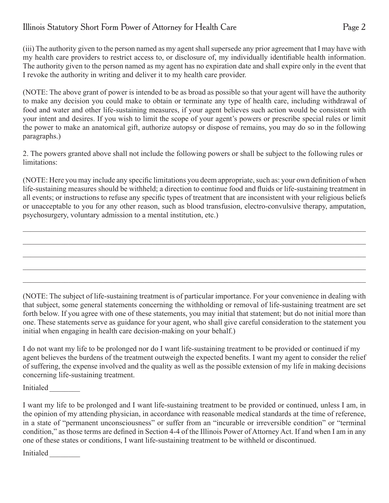## Illinois Statutory Short Form Power of Attorney for Health Care Page 2

(iii) The authority given to the person named as my agent shall supersede any prior agreement that I may have with my health care providers to restrict access to, or disclosure of, my individually identifiable health information. The authority given to the person named as my agent has no expiration date and shall expire only in the event that I revoke the authority in writing and deliver it to my health care provider.

(NOTE: The above grant of power is intended to be as broad as possible so that your agent will have the authority to make any decision you could make to obtain or terminate any type of health care, including withdrawal of food and water and other life-sustaining measures, if your agent believes such action would be consistent with your intent and desires. If you wish to limit the scope of your agent's powers or prescribe special rules or limit the power to make an anatomical gift, authorize autopsy or dispose of remains, you may do so in the following paragraphs.)

2. The powers granted above shall not include the following powers or shall be subject to the following rules or limitations:

(NOTE: Here you may include any specific limitations you deem appropriate, such as: your own definition of when life-sustaining measures should be withheld; a direction to continue food and fluids or life-sustaining treatment in all events; or instructions to refuse any specific types of treatment that are inconsistent with your religious beliefs or unacceptable to you for any other reason, such as blood transfusion, electro-convulsive therapy, amputation, psychosurgery, voluntary admission to a mental institution, etc.)

 $\_$  ,  $\_$  ,  $\_$  ,  $\_$  ,  $\_$  ,  $\_$  ,  $\_$  ,  $\_$  ,  $\_$  ,  $\_$  ,  $\_$  ,  $\_$  ,  $\_$  ,  $\_$  ,  $\_$  ,  $\_$  ,  $\_$  ,  $\_$  ,  $\_$  ,  $\_$  ,  $\_$  ,  $\_$  ,  $\_$  ,  $\_$  ,  $\_$  ,  $\_$  ,  $\_$  ,  $\_$  ,  $\_$  ,  $\_$  ,  $\_$  ,  $\_$  ,  $\_$  ,  $\_$  ,  $\_$  ,  $\_$  ,  $\_$  ,

 $\_$  ,  $\_$  ,  $\_$  ,  $\_$  ,  $\_$  ,  $\_$  ,  $\_$  ,  $\_$  ,  $\_$  ,  $\_$  ,  $\_$  ,  $\_$  ,  $\_$  ,  $\_$  ,  $\_$  ,  $\_$  ,  $\_$  ,  $\_$  ,  $\_$  ,  $\_$  ,  $\_$  ,  $\_$  ,  $\_$  ,  $\_$  ,  $\_$  ,  $\_$  ,  $\_$  ,  $\_$  ,  $\_$  ,  $\_$  ,  $\_$  ,  $\_$  ,  $\_$  ,  $\_$  ,  $\_$  ,  $\_$  ,  $\_$  ,

 $\_$  ,  $\_$  ,  $\_$  ,  $\_$  ,  $\_$  ,  $\_$  ,  $\_$  ,  $\_$  ,  $\_$  ,  $\_$  ,  $\_$  ,  $\_$  ,  $\_$  ,  $\_$  ,  $\_$  ,  $\_$  ,  $\_$  ,  $\_$  ,  $\_$  ,  $\_$  ,  $\_$  ,  $\_$  ,  $\_$  ,  $\_$  ,  $\_$  ,  $\_$  ,  $\_$  ,  $\_$  ,  $\_$  ,  $\_$  ,  $\_$  ,  $\_$  ,  $\_$  ,  $\_$  ,  $\_$  ,  $\_$  ,  $\_$  ,

 $\_$  ,  $\_$  ,  $\_$  ,  $\_$  ,  $\_$  ,  $\_$  ,  $\_$  ,  $\_$  ,  $\_$  ,  $\_$  ,  $\_$  ,  $\_$  ,  $\_$  ,  $\_$  ,  $\_$  ,  $\_$  ,  $\_$  ,  $\_$  ,  $\_$  ,  $\_$  ,  $\_$  ,  $\_$  ,  $\_$  ,  $\_$  ,  $\_$  ,  $\_$  ,  $\_$  ,  $\_$  ,  $\_$  ,  $\_$  ,  $\_$  ,  $\_$  ,  $\_$  ,  $\_$  ,  $\_$  ,  $\_$  ,  $\_$  ,

 $\_$  ,  $\_$  ,  $\_$  ,  $\_$  ,  $\_$  ,  $\_$  ,  $\_$  ,  $\_$  ,  $\_$  ,  $\_$  ,  $\_$  ,  $\_$  ,  $\_$  ,  $\_$  ,  $\_$  ,  $\_$  ,  $\_$  ,  $\_$  ,  $\_$  ,  $\_$  ,  $\_$  ,  $\_$  ,  $\_$  ,  $\_$  ,  $\_$  ,  $\_$  ,  $\_$  ,  $\_$  ,  $\_$  ,  $\_$  ,  $\_$  ,  $\_$  ,  $\_$  ,  $\_$  ,  $\_$  ,  $\_$  ,  $\_$  ,

(NOTE: The subject of life-sustaining treatment is of particular importance. For your convenience in dealing with that subject, some general statements concerning the withholding or removal of life-sustaining treatment are set forth below. If you agree with one of these statements, you may initial that statement; but do not initial more than one. These statements serve as guidance for your agent, who shall give careful consideration to the statement you initial when engaging in health care decision-making on your behalf.)

I do not want my life to be prolonged nor do I want life-sustaining treatment to be provided or continued if my agent believes the burdens of the treatment outweigh the expected benefits. I want my agent to consider the relief of suffering, the expense involved and the quality as well as the possible extension of my life in making decisions concerning life-sustaining treatment.

Initialed \_\_\_\_\_\_\_

I want my life to be prolonged and I want life-sustaining treatment to be provided or continued, unless I am, in the opinion of my attending physician, in accordance with reasonable medical standards at the time of reference, in a state of "permanent unconsciousness" or suffer from an "incurable or irreversible condition" or "terminal condition," as those terms are defined in Section 4-4 of the Illinois Power of Attorney Act. If and when I am in any one of these states or conditions, I want life-sustaining treatment to be withheld or discontinued.

Initialed \_\_\_\_\_\_\_\_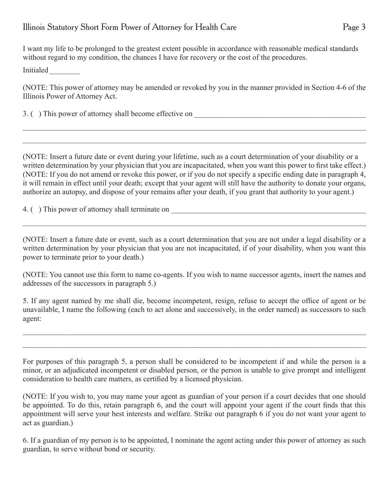I want my life to be prolonged to the greatest extent possible in accordance with reasonable medical standards without regard to my condition, the chances I have for recovery or the cost of the procedures.

Initialed \_\_\_\_\_\_\_\_

(NOTE: This power of attorney may be amended or revoked by you in the manner provided in Section 4-6 of the Illinois Power of Attorney Act.

 $\_$  ,  $\_$  ,  $\_$  ,  $\_$  ,  $\_$  ,  $\_$  ,  $\_$  ,  $\_$  ,  $\_$  ,  $\_$  ,  $\_$  ,  $\_$  ,  $\_$  ,  $\_$  ,  $\_$  ,  $\_$  ,  $\_$  ,  $\_$  ,  $\_$  ,  $\_$  ,  $\_$  ,  $\_$  ,  $\_$  ,  $\_$  ,  $\_$  ,  $\_$  ,  $\_$  ,  $\_$  ,  $\_$  ,  $\_$  ,  $\_$  ,  $\_$  ,  $\_$  ,  $\_$  ,  $\_$  ,  $\_$  ,  $\_$  ,

 $\_$  ,  $\_$  ,  $\_$  ,  $\_$  ,  $\_$  ,  $\_$  ,  $\_$  ,  $\_$  ,  $\_$  ,  $\_$  ,  $\_$  ,  $\_$  ,  $\_$  ,  $\_$  ,  $\_$  ,  $\_$  ,  $\_$  ,  $\_$  ,  $\_$  ,  $\_$  ,  $\_$  ,  $\_$  ,  $\_$  ,  $\_$  ,  $\_$  ,  $\_$  ,  $\_$  ,  $\_$  ,  $\_$  ,  $\_$  ,  $\_$  ,  $\_$  ,  $\_$  ,  $\_$  ,  $\_$  ,  $\_$  ,  $\_$  ,

3. () This power of attorney shall become effective on

(NOTE: Insert a future date or event during your lifetime, such as a court determination of your disability or a written determination by your physician that you are incapacitated, when you want this power to first take effect.) (NOTE: If you do not amend or revoke this power, or if you do not specify a specific ending date in paragraph 4, it will remain in effect until your death; except that your agent will still have the authority to donate your organs, authorize an autopsy, and dispose of your remains after your death, if you grant that authority to your agent.)

4. ( ) This power of attorney shall terminate on \_\_\_\_\_\_\_\_\_\_\_\_\_\_\_\_\_\_\_\_\_\_\_\_\_\_\_\_\_\_\_\_\_\_\_\_\_\_\_\_\_\_\_\_\_\_\_\_\_\_\_

(NOTE: Insert a future date or event, such as a court determination that you are not under a legal disability or a written determination by your physician that you are not incapacitated, if of your disability, when you want this power to terminate prior to your death.)

 $\_$  ,  $\_$  ,  $\_$  ,  $\_$  ,  $\_$  ,  $\_$  ,  $\_$  ,  $\_$  ,  $\_$  ,  $\_$  ,  $\_$  ,  $\_$  ,  $\_$  ,  $\_$  ,  $\_$  ,  $\_$  ,  $\_$  ,  $\_$  ,  $\_$  ,  $\_$  ,  $\_$  ,  $\_$  ,  $\_$  ,  $\_$  ,  $\_$  ,  $\_$  ,  $\_$  ,  $\_$  ,  $\_$  ,  $\_$  ,  $\_$  ,  $\_$  ,  $\_$  ,  $\_$  ,  $\_$  ,  $\_$  ,  $\_$  ,

(NOTE: You cannot use this form to name co-agents. If you wish to name successor agents, insert the names and addresses of the successors in paragraph 5.)

5. If any agent named by me shall die, become incompetent, resign, refuse to accept the office of agent or be unavailable, I name the following (each to act alone and successively, in the order named) as successors to such agent:

 $\_$  ,  $\_$  ,  $\_$  ,  $\_$  ,  $\_$  ,  $\_$  ,  $\_$  ,  $\_$  ,  $\_$  ,  $\_$  ,  $\_$  ,  $\_$  ,  $\_$  ,  $\_$  ,  $\_$  ,  $\_$  ,  $\_$  ,  $\_$  ,  $\_$  ,  $\_$  ,  $\_$  ,  $\_$  ,  $\_$  ,  $\_$  ,  $\_$  ,  $\_$  ,  $\_$  ,  $\_$  ,  $\_$  ,  $\_$  ,  $\_$  ,  $\_$  ,  $\_$  ,  $\_$  ,  $\_$  ,  $\_$  ,  $\_$  ,

 $\_$  ,  $\_$  ,  $\_$  ,  $\_$  ,  $\_$  ,  $\_$  ,  $\_$  ,  $\_$  ,  $\_$  ,  $\_$  ,  $\_$  ,  $\_$  ,  $\_$  ,  $\_$  ,  $\_$  ,  $\_$  ,  $\_$  ,  $\_$  ,  $\_$  ,  $\_$  ,  $\_$  ,  $\_$  ,  $\_$  ,  $\_$  ,  $\_$  ,  $\_$  ,  $\_$  ,  $\_$  ,  $\_$  ,  $\_$  ,  $\_$  ,  $\_$  ,  $\_$  ,  $\_$  ,  $\_$  ,  $\_$  ,  $\_$  ,

For purposes of this paragraph 5, a person shall be considered to be incompetent if and while the person is a minor, or an adjudicated incompetent or disabled person, or the person is unable to give prompt and intelligent consideration to health care matters, as certified by a licensed physician.

(NOTE: If you wish to, you may name your agent as guardian of your person if a court decides that one should be appointed. To do this, retain paragraph 6, and the court will appoint your agent if the court finds that this appointment will serve your best interests and welfare. Strike out paragraph 6 if you do not want your agent to act as guardian.)

6. If a guardian of my person is to be appointed, I nominate the agent acting under this power of attorney as such guardian, to serve without bond or security.